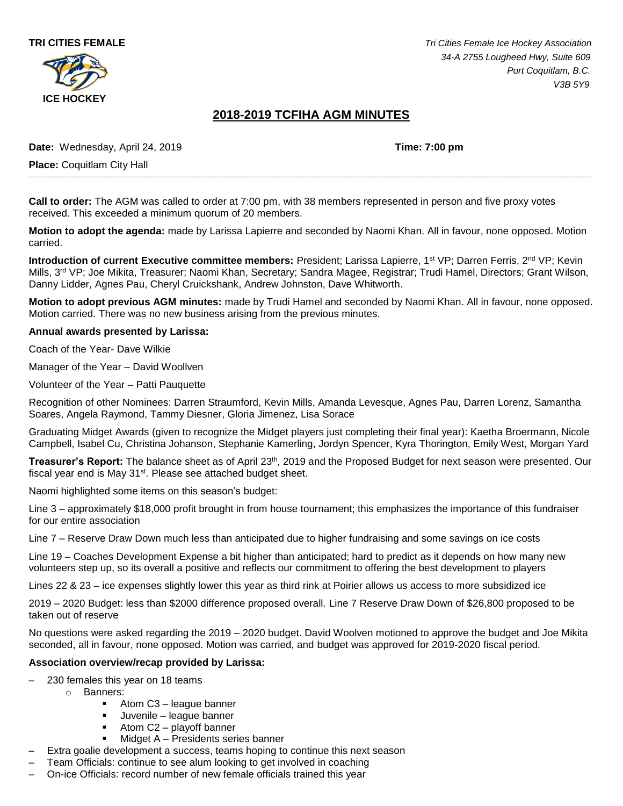



**TRI CITIES FEMALE** *Tri Cities Female Ice Hockey Association 34-A 2755 Lougheed Hwy, Suite 609 Port Coquitlam, B.C. V3B 5Y9*

# **2018-2019 TCFIHA AGM MINUTES**

**\_\_\_\_\_\_\_\_\_\_\_\_\_\_\_\_\_\_\_\_\_\_\_\_\_\_\_\_\_\_\_\_\_\_\_\_\_\_\_\_\_\_\_\_\_\_\_\_\_\_\_\_\_\_\_\_\_\_\_\_\_\_\_\_\_\_\_\_\_\_\_\_\_\_\_\_\_\_\_\_\_\_\_\_\_\_\_\_\_\_\_\_\_\_\_\_\_\_\_\_\_\_\_\_\_\_\_\_\_\_\_\_\_\_\_\_\_\_\_\_\_\_\_\_\_\_\_\_\_\_\_\_\_\_\_\_\_\_\_\_\_\_\_\_\_\_\_\_\_\_\_\_\_\_\_\_\_\_\_\_\_\_\_\_\_\_**

**Date:** Wednesday, April 24, 2019 **Time: 7:00 pm**

**Place:** Coquitlam City Hall

**Call to order:** The AGM was called to order at 7:00 pm, with 38 members represented in person and five proxy votes received. This exceeded a minimum quorum of 20 members.

**Motion to adopt the agenda:** made by Larissa Lapierre and seconded by Naomi Khan. All in favour, none opposed. Motion carried.

**Introduction of current Executive committee members:** President; Larissa Lapierre, 1<sup>st</sup> VP; Darren Ferris, 2<sup>nd</sup> VP; Kevin Mills, 3rd VP; Joe Mikita, Treasurer; Naomi Khan, Secretary; Sandra Magee, Registrar; Trudi Hamel, Directors; Grant Wilson, Danny Lidder, Agnes Pau, Cheryl Cruickshank, Andrew Johnston, Dave Whitworth.

**Motion to adopt previous AGM minutes:** made by Trudi Hamel and seconded by Naomi Khan. All in favour, none opposed. Motion carried. There was no new business arising from the previous minutes.

#### **Annual awards presented by Larissa:**

Coach of the Year- Dave Wilkie

Manager of the Year – David Woollven

Volunteer of the Year – Patti Pauquette

Recognition of other Nominees: Darren Straumford, Kevin Mills, Amanda Levesque, Agnes Pau, Darren Lorenz, Samantha Soares, Angela Raymond, Tammy Diesner, Gloria Jimenez, Lisa Sorace

Graduating Midget Awards (given to recognize the Midget players just completing their final year): Kaetha Broermann, Nicole Campbell, Isabel Cu, Christina Johanson, Stephanie Kamerling, Jordyn Spencer, Kyra Thorington, Emily West, Morgan Yard

**Treasurer's Report:** The balance sheet as of April 23th, 2019 and the Proposed Budget for next season were presented. Our fiscal year end is May 31<sup>st</sup>. Please see attached budget sheet.

Naomi highlighted some items on this season's budget:

Line 3 – approximately \$18,000 profit brought in from house tournament; this emphasizes the importance of this fundraiser for our entire association

Line 7 – Reserve Draw Down much less than anticipated due to higher fundraising and some savings on ice costs

Line 19 – Coaches Development Expense a bit higher than anticipated; hard to predict as it depends on how many new volunteers step up, so its overall a positive and reflects our commitment to offering the best development to players

Lines 22 & 23 – ice expenses slightly lower this year as third rink at Poirier allows us access to more subsidized ice

2019 – 2020 Budget: less than \$2000 difference proposed overall. Line 7 Reserve Draw Down of \$26,800 proposed to be taken out of reserve

No questions were asked regarding the 2019 – 2020 budget. David Woolven motioned to approve the budget and Joe Mikita seconded, all in favour, none opposed. Motion was carried, and budget was approved for 2019-2020 fiscal period.

#### **Association overview/recap provided by Larissa:**

- 230 females this year on 18 teams
	- o Banners:
		- Atom C3 league banner
		- Juvenile league banner
		- $\blacksquare$  Atom C2 playoff banner
		- Midget A Presidents series banner
	- Extra goalie development a success, teams hoping to continue this next season
- Team Officials: continue to see alum looking to get involved in coaching
- On-ice Officials: record number of new female officials trained this year